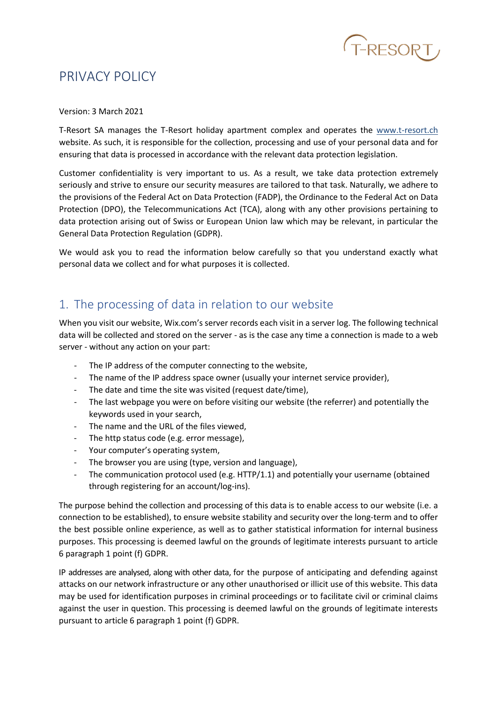

# PRIVACY POLICY

#### Version: 3 March 2021

T-Resort SA manages the T-Resort holiday apartment complex and operates the www.t-resort.ch website. As such, it is responsible for the collection, processing and use of your personal data and for ensuring that data is processed in accordance with the relevant data protection legislation.

Customer confidentiality is very important to us. As a result, we take data protection extremely seriously and strive to ensure our security measures are tailored to that task. Naturally, we adhere to the provisions of the Federal Act on Data Protection (FADP), the Ordinance to the Federal Act on Data Protection (DPO), the Telecommunications Act (TCA), along with any other provisions pertaining to data protection arising out of Swiss or European Union law which may be relevant, in particular the General Data Protection Regulation (GDPR).

We would ask you to read the information below carefully so that you understand exactly what personal data we collect and for what purposes it is collected.

# 1. The processing of data in relation to our website

When you visit our website, Wix.com's server records each visit in a server log. The following technical data will be collected and stored on the server - as is the case any time a connection is made to a web server - without any action on your part:

- The IP address of the computer connecting to the website,
- The name of the IP address space owner (usually your internet service provider),
- The date and time the site was visited (request date/time),
- The last webpage you were on before visiting our website (the referrer) and potentially the keywords used in your search,
- The name and the URL of the files viewed,
- The http status code (e.g. error message),
- Your computer's operating system,
- The browser you are using (type, version and language),
- The communication protocol used (e.g. HTTP/1.1) and potentially your username (obtained through registering for an account/log-ins).

The purpose behind the collection and processing of this data is to enable access to our website (i.e. a connection to be established), to ensure website stability and security over the long-term and to offer the best possible online experience, as well as to gather statistical information for internal business purposes. This processing is deemed lawful on the grounds of legitimate interests pursuant to article 6 paragraph 1 point (f) GDPR.

IP addresses are analysed, along with other data, for the purpose of anticipating and defending against attacks on our network infrastructure or any other unauthorised or illicit use of this website. This data may be used for identification purposes in criminal proceedings or to facilitate civil or criminal claims against the user in question. This processing is deemed lawful on the grounds of legitimate interests pursuant to article 6 paragraph 1 point (f) GDPR.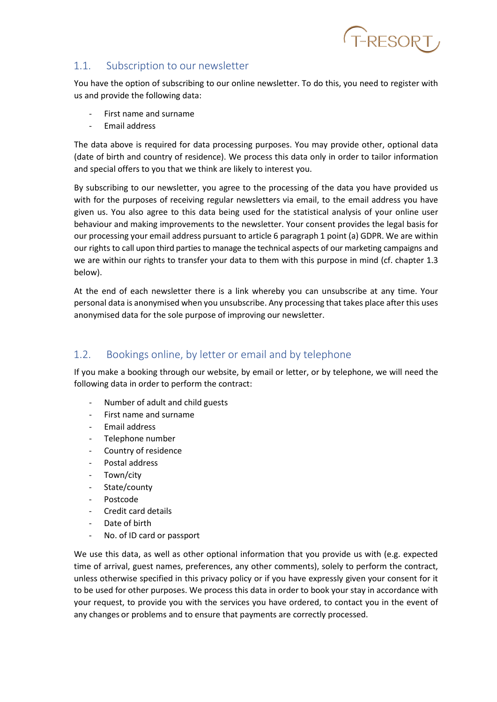

#### 1.1. Subscription to our newsletter

You have the option of subscribing to our online newsletter. To do this, you need to register with us and provide the following data:

- First name and surname
- Email address

The data above is required for data processing purposes. You may provide other, optional data (date of birth and country of residence). We process this data only in order to tailor information and special offers to you that we think are likely to interest you.

By subscribing to our newsletter, you agree to the processing of the data you have provided us with for the purposes of receiving regular newsletters via email, to the email address you have given us. You also agree to this data being used for the statistical analysis of your online user behaviour and making improvements to the newsletter. Your consent provides the legal basis for our processing your email address pursuant to article 6 paragraph 1 point (a) GDPR. We are within our rights to call upon third parties to manage the technical aspects of our marketing campaigns and we are within our rights to transfer your data to them with this purpose in mind (cf. chapter 1.3 below).

At the end of each newsletter there is a link whereby you can unsubscribe at any time. Your personal data is anonymised when you unsubscribe. Any processing that takes place after this uses anonymised data for the sole purpose of improving our newsletter.

## 1.2. Bookings online, by letter or email and by telephone

If you make a booking through our website, by email or letter, or by telephone, we will need the following data in order to perform the contract:

- Number of adult and child guests
- First name and surname
- Email address
- Telephone number
- Country of residence
- Postal address
- Town/city
- State/county
- Postcode
- Credit card details
- Date of birth
- No. of ID card or passport

We use this data, as well as other optional information that you provide us with (e.g. expected time of arrival, guest names, preferences, any other comments), solely to perform the contract, unless otherwise specified in this privacy policy or if you have expressly given your consent for it to be used for other purposes. We process this data in order to book your stay in accordance with your request, to provide you with the services you have ordered, to contact you in the event of any changes or problems and to ensure that payments are correctly processed.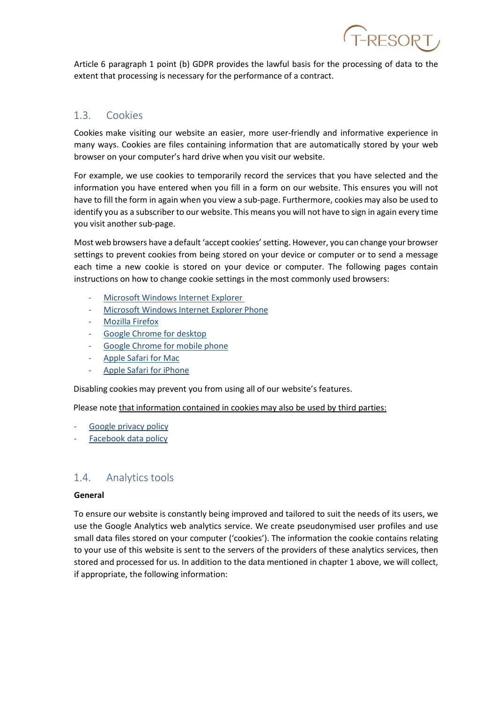Article 6 paragraph 1 point (b) GDPR provides the lawful basis for the processing of data to the extent that processing is necessary for the performance of a contract.

T-RESORT

#### 1.3. Cookies

Cookies make visiting our website an easier, more user-friendly and informative experience in many ways. Cookies are files containing information that are automatically stored by your web browser on your computer's hard drive when you visit our website.

For example, we use cookies to temporarily record the services that you have selected and the information you have entered when you fill in a form on our website. This ensures you will not have to fill the form in again when you view a sub-page. Furthermore, cookies may also be used to identify you as a subscriber to our website. This means you will not have to sign in again every time you visit another sub-page.

Most web browsers have a default 'accept cookies' setting. However, you can change your browser settings to prevent cookies from being stored on your device or computer or to send a message each time a new cookie is stored on your device or computer. The following pages contain instructions on how to change cookie settings in the most commonly used browsers:

- Microsoft Windows [Internet Explorer](https://support.microsoft.com/en-us/topic/delete-and-manage-cookies-168dab11-0753-043d-7c16-ede5947fc64d)
- Microsoft Windows [Internet Explorer](https://support.microsoft.com/en-us/help/10635/windows-phone-change-privacy-and-other-browser-settings) Phone
- [Mozilla](https://support.mozilla.org/en-US/kb/cookies-information-websites-store-on-your-computer#:%7E:text=A%20cookie%20is%20information%20stored,your%20preferred%20language%20or%20location.) Firefox
- Google Chrome [for desktop](https://support.google.com/chrome/answer/95647?hl=en)
- Google [Chrome](https://support.google.com/chrome/answer/2392709?hl=en&co=GENIE.Platform%3DAndroid&oco=1) for mobile phone
- Apple Safari [for Mac](https://support.apple.com/kb/PH17191?locale=en_US&viewlocale=de_DE)
- Apple Safari [for iPhone](https://support.apple.com/en-gb/HT201265)

Disabling cookies may prevent you from using all of our website's features.

Please note that information contained in cookies may also be used by third parties:

- Google [privacy policy](https://policies.google.com/privacy?hl=en-GB)
- Facebook [data policy](https://www.facebook.com/policy.php)

#### 1.4. Analytics tools

#### **General**

To ensure our website is constantly being improved and tailored to suit the needs of its users, we use the Google Analytics web analytics service. We create pseudonymised user profiles and use small data files stored on your computer ('cookies'). The information the cookie contains relating to your use of this website is sent to the servers of the providers of these analytics services, then stored and processed for us. In addition to the data mentioned in chapter 1 above, we will collect, if appropriate, the following information: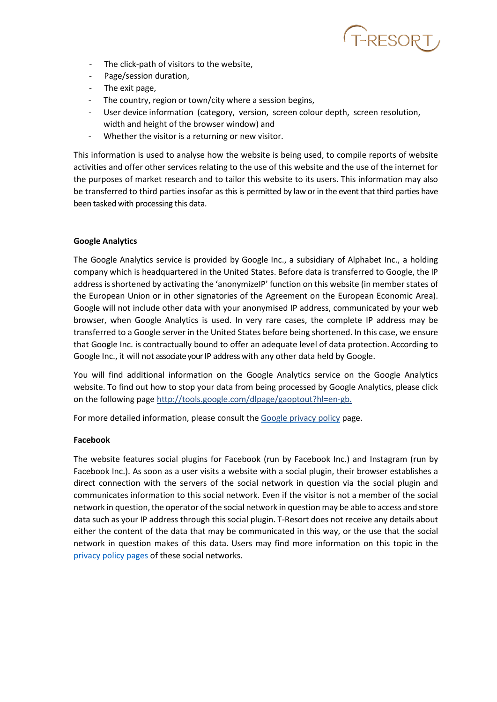

- The click-path of visitors to the website,
- Page/session duration,
- The exit page,
- The country, region or town/city where a session begins,
- User device information (category, version, screen colour depth, screen resolution, width and height of the browser window) and
- Whether the visitor is a returning or new visitor.

This information is used to analyse how the website is being used, to compile reports of website activities and offer other services relating to the use of this website and the use of the internet for the purposes of market research and to tailor this website to its users. This information may also be transferred to third parties insofar as this is permitted by law or in the event that third parties have been tasked with processing this data.

#### **Google Analytics**

The Google Analytics service is provided by Google Inc., a subsidiary of Alphabet Inc., a holding company which is headquartered in the United States. Before data is transferred to Google, the IP address is shortened by activating the 'anonymizeIP' function on this website (in member states of the European Union or in other signatories of the Agreement on the European Economic Area). Google will not include other data with your anonymised IP address, communicated by your web browser, when Google Analytics is used. In very rare cases, the complete IP address may be transferred to a Google server in the United States before being shortened. In this case, we ensure that Google Inc. is contractually bound to offer an adequate level of data protection. According to Google Inc., it will not associate your IP address with any other data held by Google.

You will find additional information on the Google Analytics service on the Google Analytics website. To find out how to stop your data from being processed by Google Analytics, please click on the following page <http://tools.google.com/dlpage/gaoptout?hl=en-gb.>

For more detailed information, please consult the [Google privacy policy](https://policies.google.com/privacy?hl=en-GB) page.

#### **Facebook**

The website features social plugins for Facebook (run by Facebook Inc.) and Instagram (run by Facebook Inc.). As soon as a user visits a website with a social plugin, their browser establishes a direct connection with the servers of the social network in question via the social plugin and communicates information to this social network. Even if the visitor is not a member of the social network in question, the operator of the social network in question may be able to access and store data such as your IP address through this social plugin. T-Resort does not receive any details about either the content of the data that may be communicated in this way, or the use that the social network in question makes of this data. Users may find more information on this topic in the [privacy policy pages](https://www.facebook.com/policy.php) of these social networks.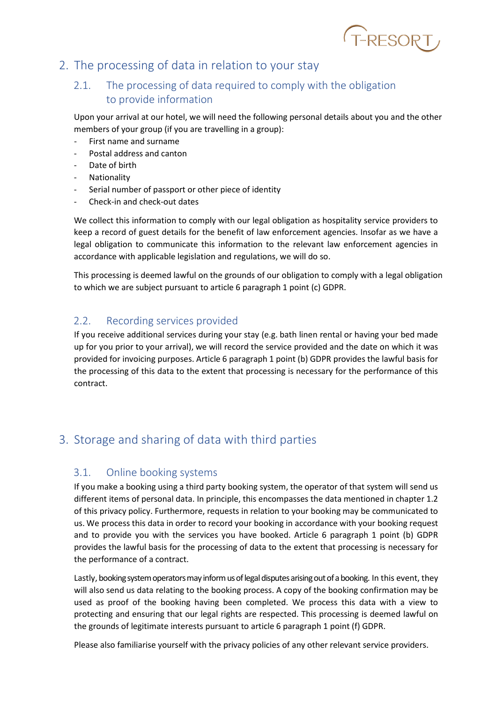

# 2. The processing of data in relation to your stay

### 2.1. The processing of data required to comply with the obligation to provide information

Upon your arrival at our hotel, we will need the following personal details about you and the other members of your group (if you are travelling in a group):

- First name and surname
- Postal address and canton
- Date of birth
- **Nationality**
- Serial number of passport or other piece of identity
- Check-in and check-out dates

We collect this information to comply with our legal obligation as hospitality service providers to keep a record of guest details for the benefit of law enforcement agencies. Insofar as we have a legal obligation to communicate this information to the relevant law enforcement agencies in accordance with applicable legislation and regulations, we will do so.

This processing is deemed lawful on the grounds of our obligation to comply with a legal obligation to which we are subject pursuant to article 6 paragraph 1 point (c) GDPR.

#### 2.2. Recording services provided

If you receive additional services during your stay (e.g. bath linen rental or having your bed made up for you prior to your arrival), we will record the service provided and the date on which it was provided for invoicing purposes. Article 6 paragraph 1 point (b) GDPR provides the lawful basis for the processing of this data to the extent that processing is necessary for the performance of this contract.

# 3. Storage and sharing of data with third parties

#### 3.1. Online booking systems

If you make a booking using a third party booking system, the operator of that system will send us different items of personal data. In principle, this encompasses the data mentioned in chapter 1.2 of this privacy policy. Furthermore, requests in relation to your booking may be communicated to us. We process this data in order to record your booking in accordance with your booking request and to provide you with the services you have booked. Article 6 paragraph 1 point (b) GDPR provides the lawful basis for the processing of data to the extent that processing is necessary for the performance of a contract.

Lastly, booking system operators may inform us of legal disputes arising out of a booking. In this event, they will also send us data relating to the booking process. A copy of the booking confirmation may be used as proof of the booking having been completed. We process this data with a view to protecting and ensuring that our legal rights are respected. This processing is deemed lawful on the grounds of legitimate interests pursuant to article 6 paragraph 1 point (f) GDPR.

Please also familiarise yourself with the privacy policies of any other relevant service providers.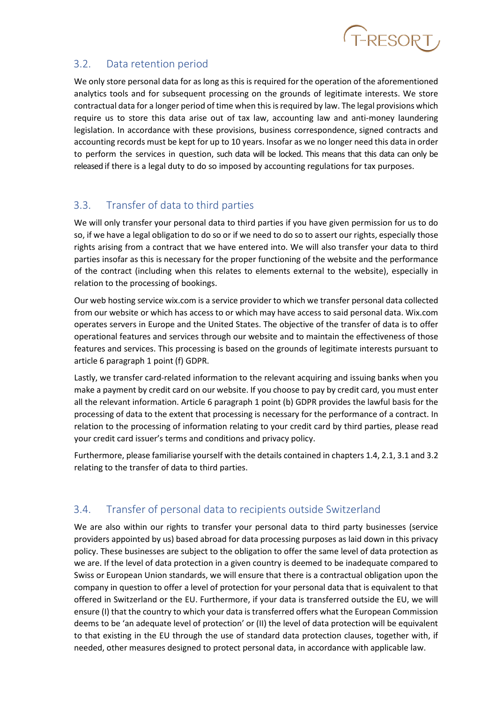

### 3.2. Data retention period

We only store personal data for as long as this is required for the operation of the aforementioned analytics tools and for subsequent processing on the grounds of legitimate interests. We store contractual data for a longer period of time when this is required by law. The legal provisions which require us to store this data arise out of tax law, accounting law and anti-money laundering legislation. In accordance with these provisions, business correspondence, signed contracts and accounting records must be kept for up to 10 years. Insofar as we no longer need this data in order to perform the services in question, such data will be locked. This means that this data can only be released if there is a legal duty to do so imposed by accounting regulations for tax purposes.

### 3.3. Transfer of data to third parties

We will only transfer your personal data to third parties if you have given permission for us to do so, if we have a legal obligation to do so or if we need to do so to assert our rights, especially those rights arising from a contract that we have entered into. We will also transfer your data to third parties insofar as this is necessary for the proper functioning of the website and the performance of the contract (including when this relates to elements external to the website), especially in relation to the processing of bookings.

Our web hosting service wix.com is a service provider to which we transfer personal data collected from our website or which has access to or which may have access to said personal data. Wix.com operates servers in Europe and the United States. The objective of the transfer of data is to offer operational features and services through our website and to maintain the effectiveness of those features and services. This processing is based on the grounds of legitimate interests pursuant to article 6 paragraph 1 point (f) GDPR.

Lastly, we transfer card-related information to the relevant acquiring and issuing banks when you make a payment by credit card on our website. If you choose to pay by credit card, you must enter all the relevant information. Article 6 paragraph 1 point (b) GDPR provides the lawful basis for the processing of data to the extent that processing is necessary for the performance of a contract. In relation to the processing of information relating to your credit card by third parties, please read your credit card issuer's terms and conditions and privacy policy.

Furthermore, please familiarise yourself with the details contained in chapters 1.4, 2.1, 3.1 and 3.2 relating to the transfer of data to third parties.

# 3.4. Transfer of personal data to recipients outside Switzerland

We are also within our rights to transfer your personal data to third party businesses (service providers appointed by us) based abroad for data processing purposes as laid down in this privacy policy. These businesses are subject to the obligation to offer the same level of data protection as we are. If the level of data protection in a given country is deemed to be inadequate compared to Swiss or European Union standards, we will ensure that there is a contractual obligation upon the company in question to offer a level of protection for your personal data that is equivalent to that offered in Switzerland or the EU. Furthermore, if your data is transferred outside the EU, we will ensure (I) that the country to which your data is transferred offers what the European Commission deems to be 'an adequate level of protection' or (II) the level of data protection will be equivalent to that existing in the EU through the use of standard data protection clauses, together with, if needed, other measures designed to protect personal data, in accordance with applicable law.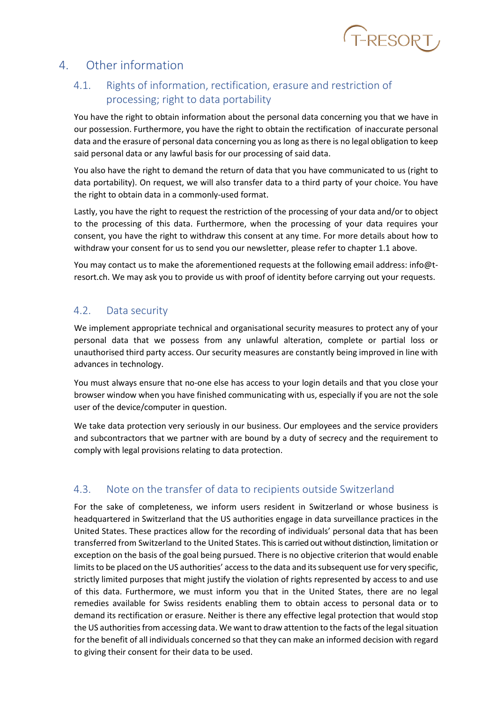

# 4. Other information

# 4.1. Rights of information, rectification, erasure and restriction of processing; right to data portability

You have the right to obtain information about the personal data concerning you that we have in our possession. Furthermore, you have the right to obtain the rectification of inaccurate personal data and the erasure of personal data concerning you as long as there is no legal obligation to keep said personal data or any lawful basis for our processing of said data.

You also have the right to demand the return of data that you have communicated to us (right to data portability). On request, we will also transfer data to a third party of your choice. You have the right to obtain data in a commonly-used format.

Lastly, you have the right to request the restriction of the processing of your data and/or to object to the processing of this data. Furthermore, when the processing of your data requires your consent, you have the right to withdraw this consent at any time. For more details about how to withdraw your consent for us to send you our newsletter, please refer to chapter 1.1 above.

You may contact us to make the aforementioned requests at the following email address: [info@t](mailto:info@t-resort.ch)[resort.ch.](mailto:info@t-resort.ch) We may ask you to provide us with proof of identity before carrying out your requests.

#### 4.2. Data security

We implement appropriate technical and organisational security measures to protect any of your personal data that we possess from any unlawful alteration, complete or partial loss or unauthorised third party access. Our security measures are constantly being improved in line with advances in technology.

You must always ensure that no-one else has access to your login details and that you close your browser window when you have finished communicating with us, especially if you are not the sole user of the device/computer in question.

We take data protection very seriously in our business. Our employees and the service providers and subcontractors that we partner with are bound by a duty of secrecy and the requirement to comply with legal provisions relating to data protection.

### 4.3. Note on the transfer of data to recipients outside Switzerland

For the sake of completeness, we inform users resident in Switzerland or whose business is headquartered in Switzerland that the US authorities engage in data surveillance practices in the United States. These practices allow for the recording of individuals' personal data that has been transferred from Switzerland to the United States. This is carried out without distinction, limitation or exception on the basis of the goal being pursued. There is no objective criterion that would enable limits to be placed on the US authorities' access to the data and its subsequent use for very specific, strictly limited purposes that might justify the violation of rights represented by access to and use of this data. Furthermore, we must inform you that in the United States, there are no legal remedies available for Swiss residents enabling them to obtain access to personal data or to demand its rectification or erasure. Neither is there any effective legal protection that would stop the US authorities from accessing data. We want to draw attention to the facts of the legal situation for the benefit of all individuals concerned so that they can make an informed decision with regard to giving their consent for their data to be used.